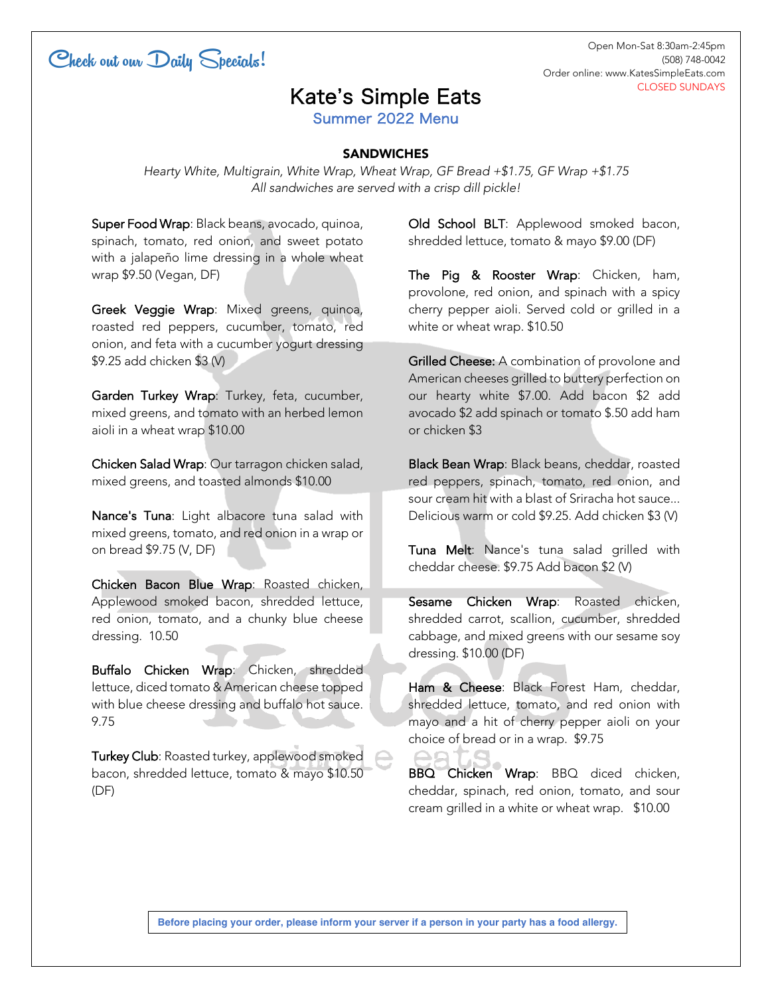

Open Mon-Sat 8:30am-2:45pm (508) 748-0042 Order online: www.KatesSimpleEats.com CLOSED SUNDAYS

## Kate's Simple Eats

Summer 2022 Menu

## **SANDWICHES**

*Hearty White, Multigrain, White Wrap, Wheat Wrap, GF Bread +\$1.75, GF Wrap +\$1.75 All sandwiches are served with a crisp dill pickle!*

Super Food Wrap: Black beans, avocado, quinoa, spinach, tomato, red onion, and sweet potato with a jalapeño lime dressing in a whole wheat wrap \$9.50 (Vegan, DF)

Greek Veggie Wrap: Mixed greens, quinoa, roasted red peppers, cucumber, tomato, red onion, and feta with a cucumber yogurt dressing \$9.25 add chicken \$3 (V)

Garden Turkey Wrap: Turkey, feta, cucumber, mixed greens, and tomato with an herbed lemon aioli in a wheat wrap \$10.00

Chicken Salad Wrap: Our tarragon chicken salad, mixed greens, and toasted almonds \$10.00

Nance's Tuna: Light albacore tuna salad with mixed greens, tomato, and red onion in a wrap or on bread \$9.75 (V, DF)

Chicken Bacon Blue Wrap: Roasted chicken, Applewood smoked bacon, shredded lettuce, red onion, tomato, and a chunky blue cheese dressing. 10.50

Buffalo Chicken Wrap: Chicken, shredded lettuce, diced tomato & American cheese topped with blue cheese dressing and buffalo hot sauce. 9.75

Turkey Club: Roasted turkey, applewood smoked bacon, shredded lettuce, tomato & mayo \$10.50 (DF)

Old School BLT: Applewood smoked bacon, shredded lettuce, tomato & mayo \$9.00 (DF)

The Pig & Rooster Wrap: Chicken, ham, provolone, red onion, and spinach with a spicy cherry pepper aioli. Served cold or grilled in a white or wheat wrap. \$10.50

Grilled Cheese: A combination of provolone and American cheeses grilled to buttery perfection on our hearty white \$7.00. Add bacon \$2 add avocado \$2 add spinach or tomato \$.50 add ham or chicken \$3

Black Bean Wrap: Black beans, cheddar, roasted red peppers, spinach, tomato, red onion, and sour cream hit with a blast of Sriracha hot sauce... Delicious warm or cold \$9.25. Add chicken \$3 (V)

Tuna Melt: Nance's tuna salad grilled with cheddar cheese. \$9.75 Add bacon \$2 (V)

Sesame Chicken Wrap: Roasted chicken, shredded carrot, scallion, cucumber, shredded cabbage, and mixed greens with our sesame soy dressing. \$10.00 (DF)

Ham & Cheese: Black Forest Ham, cheddar, shredded lettuce, tomato, and red onion with mayo and a hit of cherry pepper aioli on your choice of bread or in a wrap. \$9.75

BBQ Chicken Wrap: BBQ diced chicken, cheddar, spinach, red onion, tomato, and sour cream grilled in a white or wheat wrap. \$10.00

**Before placing your order, please inform your server if a person in your party has a food allergy.**